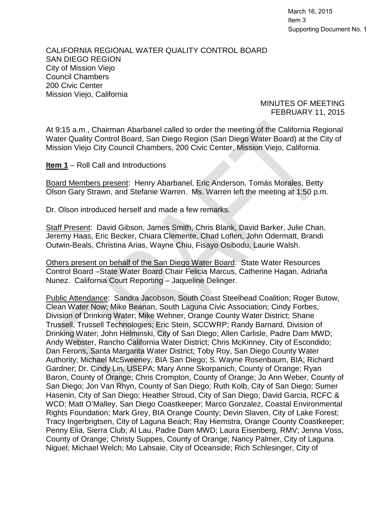March 16, 2015 Item 3 Supporting Document No. 1

CALIFORNIA REGIONAL WATER QUALITY CONTROL BOARD SAN DIEGO REGION City of Mission Viejo Council Chambers 200 Civic Center Mission Viejo, California

> MINUTES OF MEETING FEBRUARY 11, 2015

At 9:15 a.m., Chairman Abarbanel called to order the meeting of the California Regional Water Quality Control Board, San Diego Region (San Diego Water Board) at the City of Mission Viejo City Council Chambers, 200 Civic Center, Mission Viejo, California.

**Item 1** – Roll Call and Introductions

Board Members present: Henry Abarbanel, Eric Anderson, Tomás Morales, Betty Olson Gary Strawn, and Stefanie Warren. Ms. Warren left the meeting at 1:50 p.m.

Dr. Olson introduced herself and made a few remarks.

Staff Present: David Gibson, James Smith, Chris Blank, David Barker, Julie Chan, Jeremy Haas, Eric Becker, Chiara Clemente, Chad Loflen, John Odermatt, Brandi Outwin-Beals, Christina Arias, Wayne Chiu, Fisayo Osibodu, Laurie Walsh.

Others present on behalf of the San Diego Water Board: State Water Resources Control Board –State Water Board Chair Felicia Marcus, Catherine Hagan, Adriaña Nunez. California Court Reporting – Jaqueline Delinger.

<span id="page-0-0"></span>Public Attendance: Sandra Jacobson, South Coast Steelhead Coalition; Roger Butow, Clean Water Now; Mike Beanan, South Laguna Civic Association; Cindy Forbes, Division of Drinking Water; Mike Wehner, Orange County Water District; Shane Trussell, Trussell Technologies; Eric Stein, SCCWRP; Randy Barnard, Division of Drinking Water; John Helminski, City of San Diego; Allen Carlisle, Padre Dam MWD; Andy Webster, Rancho California Water District; Chris McKinney, City of Escondido; Dan Ferons, Santa Margarita Water District; Toby Roy, San Diego County Water Authority; Michael McSweeney, BIA San Diego; S. Wayne Rosenbaum, BIA; Richard Gardner; Dr. Cindy Lin, USEPA; Mary Anne Skorpanich, County of Orange; Ryan Baron, County of Orange; Chris Crompton, County of Orange; Jo Ann Weber, County of San Diego; Jon Van Rhyn, County of San Diego; Ruth Kolb, City of San Diego; Sumer Hasenin, City of San Diego; Heather Stroud, City of San Diego; David Garcia, RCFC & WCD; Matt O'Malley, San Diego Coastkeeper; Marco Gonzalez, Coastal Environmental Rights Foundation; Mark Grey, BIA Orange County; Devin Slaven, City of Lake Forest; Tracy Ingerbrigtsen, City of Laguna Beach; Ray Hiemstra, Orange County Coastkeeper; Penny Elia, Sierra Club; Al Lau, Padre Dam MWD; Laura Eisenberg, RMV; Jenna Voss, County of Orange; Christy Suppes, County of Orange; Nancy Palmer, City of Laguna Niguel; Michael Welch; Mo Lahsaie, City of Oceanside; Rich Schlesinger, City of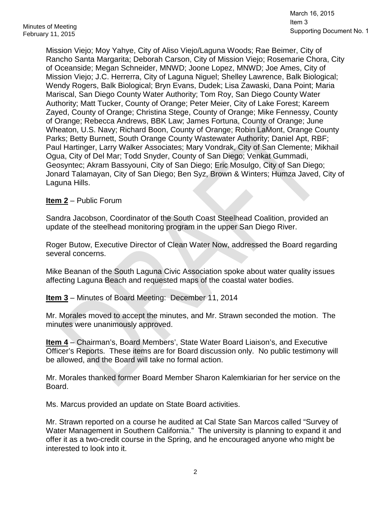March 16, 2015 Item 3 Supporting Document No. 1

Mission Viejo; Moy Yahye, City of Aliso Viejo/Laguna Woods; Rae Beimer, City of Rancho Santa Margarita; Deborah Carson, City of Mission Viejo; Rosemarie Chora, City of Oceanside; Megan Schneider, MNWD; Joone Lopez, MNWD; Joe Ames, City of Mission Viejo; J.C. Herrerra, City of Laguna Niguel; Shelley Lawrence, Balk Biological; Wendy Rogers, Balk Biological; Bryn Evans, Dudek; Lisa Zawaski, Dana Point; Maria Mariscal, San Diego County Water Authority; Tom Roy, San Diego County Water Authority; Matt Tucker, County of Orange; Peter Meier, City of Lake Forest; Kareem Zayed, County of Orange; Christina Stege, County of Orange; Mike Fennessy, County of Orange; Rebecca Andrews, BBK Law; James Fortuna, County of Orange; June Wheaton, U.S. Navy; Richard Boon, County of Orange; Robin LaMont, Orange County Parks; Betty Burnett, South Orange County Wastewater Authority; Daniel Apt, RBF; Paul Hartinger, Larry Walker Associates; Mary Vondrak, City of San Clemente; Mikhail Ogua, City of Del Mar; Todd Snyder, County of San Diego; Venkat Gummadi, Geosyntec; Akram Bassyouni, City of San Diego; Eric Mosulgo, City of San Diego; Jonard Talamayan, City of San Diego; Ben Syz, Brown & Winters; Humza Javed, City of Laguna Hills.

## **Item 2** – Public Forum

Sandra Jacobson, Coordinator of the South Coast Steelhead Coalition, provided an update of the steelhead monitoring program in the upper San Diego River.

Roger Butow, Executive Director of Clean Water Now, addressed the Board regarding several concerns.

Mike Beanan of the South Laguna Civic Association spoke about water quality issues affecting Laguna Beach and requested maps of the coastal water bodies.

**Item 3** – Minutes of Board Meeting: December 11, 2014

Mr. Morales moved to accept the minutes, and Mr. Strawn seconded the motion. The minutes were unanimously approved.

**Item 4** – Chairman's, Board Members', State Water Board Liaison's, and Executive Officer's Reports. These items are for Board discussion only. No public testimony will be allowed, and the Board will take no formal action.

Mr. Morales thanked former Board Member Sharon Kalemkiarian for her service on the Board.

Ms. Marcus provided an update on State Board activities.

Mr. Strawn reported on a course he audited at Cal State San Marcos called "Survey of Water Management in Southern California." The university is planning to expand it and offer it as a two-credit course in the Spring, and he encouraged anyone who might be interested to look into it.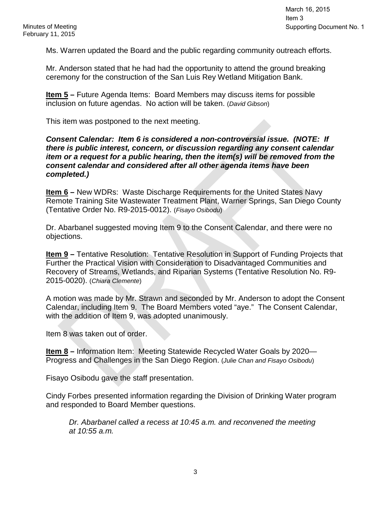Ms. Warren updated the Board and the public regarding community outreach efforts.

Mr. Anderson stated that he had had the opportunity to attend the ground breaking ceremony for the construction of the San Luis Rey Wetland Mitigation Bank.

**Item 5 –** Future Agenda Items: Board Members may discuss items for possible inclusion on future agendas. No action will be taken. (*David Gibson*)

This item was postponed to the next meeting.

### *Consent Calendar: Item 6 is considered a non-controversial issue. (NOTE: If there is public interest, concern, or discussion regarding any consent calendar item or a request for a public hearing, then the item(s) will be removed from the consent calendar and considered after all other agenda items have been completed.)*

**Item 6 –** New WDRs: Waste Discharge Requirements for the United States Navy Remote Training Site Wastewater Treatment Plant, Warner Springs, San Diego County (Tentative Order No. R9-2015-0012). (*Fisayo Osibodu*)

Dr. Abarbanel suggested moving Item 9 to the Consent Calendar, and there were no objections.

**Item 9 –** Tentative Resolution: Tentative Resolution in Support of Funding Projects that Further the Practical Vision with Consideration to Disadvantaged Communities and Recovery of Streams, Wetlands, and Riparian Systems (Tentative Resolution No. R9- 2015-0020). (*Chiara Clemente*)

A motion was made by Mr. Strawn and seconded by Mr. Anderson to adopt the Consent Calendar, including Item 9. The Board Members voted "aye." The Consent Calendar, with the addition of Item 9, was adopted unanimously.

Item 8 was taken out of order.

**Item 8** – Information Item: Meeting Statewide Recycled Water Goals by 2020— Progress and Challenges in the San Diego Region. (*Julie Chan and Fisayo Osibodu*)

Fisayo Osibodu gave the staff presentation.

Cindy Forbes presented information regarding the Division of Drinking Water program and responded to Board Member questions.

*Dr. Abarbanel called a recess at 10:45 a.m. and reconvened the meeting at 10:55 a.m.*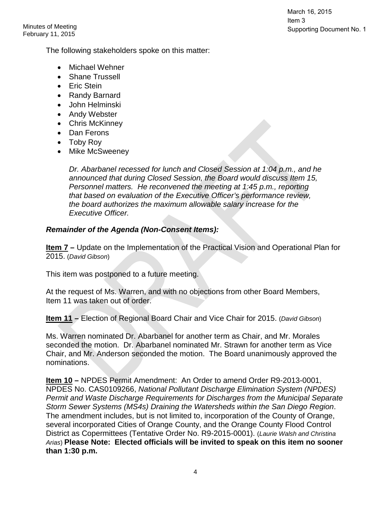Minutes of Meeting February 11, 2015 March 16, 2015 Item 3 Supporting Document No. 1

The following stakeholders spoke on this matter:

- Michael Wehner
- Shane Trussell
- Eric Stein
- Randy Barnard
- John Helminski
- Andy Webster
- Chris McKinney
- Dan Ferons
- Toby Roy
- Mike McSweeney

*Dr. Abarbanel recessed for lunch and Closed Session at 1:04 p.m., and he announced that during Closed Session, the Board would discuss Item 15, Personnel matters. He reconvened the meeting at 1:45 p.m., reporting that based on evaluation of the Executive Officer's performance review, the board authorizes the maximum allowable salary increase for the Executive Officer.*

### *Remainder of the Agenda (Non-Consent Items):*

**Item 7 –** Update on the Implementation of the Practical Vision and Operational Plan for 2015. (*David Gibson*)

This item was postponed to a future meeting.

At the request of Ms. Warren, and with no objections from other Board Members, Item 11 was taken out of order.

**Item 11 –** Election of Regional Board Chair and Vice Chair for 2015. (*David Gibson*)

Ms. Warren nominated Dr. Abarbanel for another term as Chair, and Mr. Morales seconded the motion. Dr. Abarbanel nominated Mr. Strawn for another term as Vice Chair, and Mr. Anderson seconded the motion. The Board unanimously approved the nominations.

**Item 10 –** NPDES Permit Amendment: An Order to amend Order R9-2013-0001, NPDES No. CAS0109266, *National Pollutant Discharge Elimination System (NPDES) Permit and Waste Discharge Requirements for Discharges from the Municipal Separate Storm Sewer Systems (MS4s) Draining the Watersheds within the San Diego Region*. The amendment includes, but is not limited to, incorporation of the County of Orange, several incorporated Cities of Orange County, and the Orange County Flood Control District as Copermittees (Tentative Order No. R9-2015-0001). (*Laurie Walsh and Christina Arias*) **Please Note: Elected officials will be invited to speak on this item no sooner than 1:30 p.m.**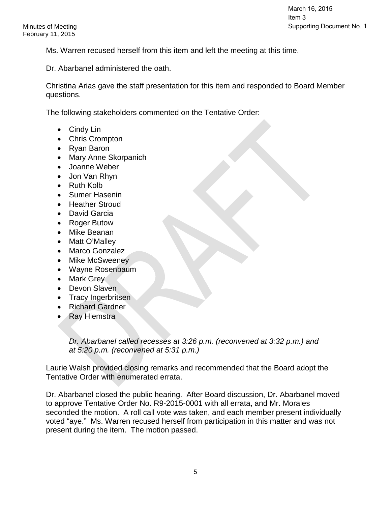Ms. Warren recused herself from this item and left the meeting at this time.

Dr. Abarbanel administered the oath.

Christina Arias gave the staff presentation for this item and responded to Board Member questions.

The following stakeholders commented on the Tentative Order:

- Cindy Lin
- Chris Crompton
- Ryan Baron
- Mary Anne Skorpanich
- Joanne Weber
- Jon Van Rhyn
- Ruth Kolb
- Sumer Hasenin
- Heather Stroud
- David Garcia
- Roger Butow
- Mike Beanan
- Matt O'Malley
- Marco Gonzalez
- Mike McSweeney
- Wayne Rosenbaum
- Mark Grey
- Devon Slaven
- Tracy Ingerbritsen
- Richard Gardner
- Ray Hiemstra

*Dr. Abarbanel called recesses at 3:26 p.m. (reconvened at 3:32 p.m.) and at 5:20 p.m. (reconvened at 5:31 p.m.)*

Laurie Walsh provided closing remarks and recommended that the Board adopt the Tentative Order with enumerated errata.

Dr. Abarbanel closed the public hearing. After Board discussion, Dr. Abarbanel moved to approve Tentative Order No. R9-2015-0001 with all errata, and Mr. Morales seconded the motion. A roll call vote was taken, and each member present individually voted "aye." Ms. Warren recused herself from participation in this matter and was not present during the item. The motion passed.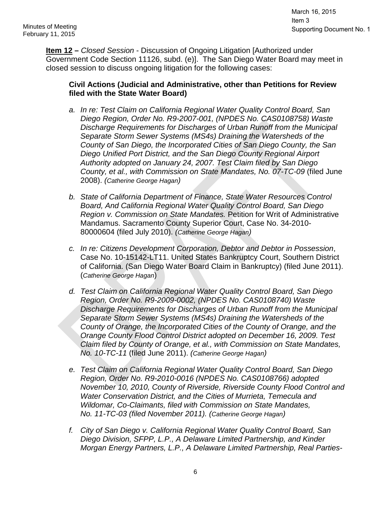**Item 12 –** *Closed Session* - Discussion of Ongoing Litigation [Authorized under Government Code Section 11126, subd. (e)]. The San Diego Water Board may meet in closed session to discuss ongoing litigation for the following cases:

## **Civil Actions (Judicial and Administrative, other than Petitions for Review filed with the State Water Board)**

- *a. In re: Test Claim on California Regional Water Quality Control Board, San Diego Region, Order No. R9-2007-001, (NPDES No. CAS0108758) Waste Discharge Requirements for Discharges of Urban Runoff from the Municipal Separate Storm Sewer Systems (MS4s) Draining the Watersheds of the County of San Diego, the Incorporated Cities of San Diego County, the San Diego Unified Port District, and the San Diego County Regional Airport Authority adopted on January 24, 2007. Test Claim filed by San Diego County, et al., with Commission on State Mandates, No. 07-TC-09* (filed June 2008). *(Catherine George Hagan)*
- *b. State of California Department of Finance, State Water Resources Control Board, And California Regional Water Quality Control Board, San Diego Region v. Commission on State Mandates.* Petition for Writ of Administrative Mandamus. Sacramento County Superior Court, Case No. 34-2010- 80000604 (filed July 2010). *(Catherine George Hagan)*
- *c. In re: Citizens Development Corporation, Debtor and Debtor in Possession*, Case No. 10-15142-LT11. United States Bankruptcy Court, Southern District of California. (San Diego Water Board Claim in Bankruptcy) (filed June 2011). (*Catherine George Hagan*)
- *d. Test Claim on California Regional Water Quality Control Board, San Diego Region, Order No. R9-2009-0002, (NPDES No. CAS0108740) Waste Discharge Requirements for Discharges of Urban Runoff from the Municipal Separate Storm Sewer Systems (MS4s) Draining the Watersheds of the County of Orange, the Incorporated Cities of the County of Orange, and the Orange County Flood Control District adopted on December 16, 2009. Test Claim filed by County of Orange, et al., with Commission on State Mandates, No. 10-TC-11* (filed June 2011). *(Catherine George Hagan)*
- *e. Test Claim on California Regional Water Quality Control Board, San Diego Region, Order No. R9-2010-0016 (NPDES No. CAS0108766) adopted November 10, 2010, County of Riverside, Riverside County Flood Control and Water Conservation District, and the Cities of Murrieta, Temecula and Wildomar, Co-Claimants, filed with Commission on State Mandates, No. 11-TC-03 (filed November 2011). (Catherine George Hagan)*
- *f. City of San Diego v. California Regional Water Quality Control Board, San Diego Division, SFPP, L.P., A Delaware Limited Partnership, and Kinder Morgan Energy Partners, L.P., A Delaware Limited Partnership, Real Parties-*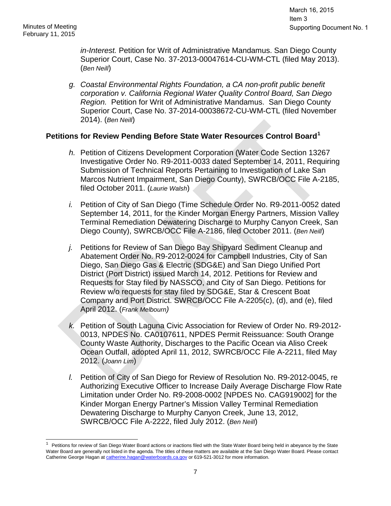*in-Interest.* Petition for Writ of Administrative Mandamus. San Diego County Superior Court, Case No. 37-2013-00047614-CU-WM-CTL (filed May 2013). (*Ben Neill*)

*g. Coastal Environmental Rights Foundation, a CA non-profit public benefit corporation v. California Regional Water Quality Control Board, San Diego Region.* Petition for Writ of Administrative Mandamus. San Diego County Superior Court, Case No. 37-2014-00038672-CU-WM-CTL (filed November 2014). (*Ben Neill*)

# **Petitions for Review Pending Before State Water Resources Control Board[1](#page-0-0)**

- *h.* Petition of Citizens Development Corporation (Water Code Section 13267 Investigative Order No. R9-2011-0033 dated September 14, 2011, Requiring Submission of Technical Reports Pertaining to Investigation of Lake San Marcos Nutrient Impairment, San Diego County), SWRCB/OCC File A-2185, filed October 2011. (*Laurie Walsh*)
- *i.* Petition of City of San Diego (Time Schedule Order No. R9-2011-0052 dated September 14, 2011, for the Kinder Morgan Energy Partners, Mission Valley Terminal Remediation Dewatering Discharge to Murphy Canyon Creek, San Diego County), SWRCB/OCC File A-2186, filed October 2011. (*Ben Neill*)
- *j.* Petitions for Review of San Diego Bay Shipyard Sediment Cleanup and Abatement Order No. R9-2012-0024 for Campbell Industries, City of San Diego, San Diego Gas & Electric (SDG&E) and San Diego Unified Port District (Port District) issued March 14, 2012. Petitions for Review and Requests for Stay filed by NASSCO, and City of San Diego. Petitions for Review w/o requests for stay filed by SDG&E, Star & Crescent Boat Company and Port District. SWRCB/OCC File A-2205(c), (d), and (e), filed April 2012. (*Frank Melbourn)*
- *k.* Petition of South Laguna Civic Association for Review of Order No. R9-2012- 0013, NPDES No. CA0107611, NPDES Permit Reissuance: South Orange County Waste Authority, Discharges to the Pacific Ocean via Aliso Creek Ocean Outfall, adopted April 11, 2012, SWRCB/OCC File A-2211, filed May 2012. (*Joann Lim*)
- *l.* Petition of City of San Diego for Review of Resolution No. R9-2012-0045, re Authorizing Executive Officer to Increase Daily Average Discharge Flow Rate Limitation under Order No. R9-2008-0002 [NPDES No. CAG919002] for the Kinder Morgan Energy Partner's Mission Valley Terminal Remediation Dewatering Discharge to Murphy Canyon Creek, June 13, 2012, SWRCB/OCC File A-2222, filed July 2012. (*Ben Neill*)

 $\overline{1}$  $1$  Petitions for review of San Diego Water Board actions or inactions filed with the State Water Board being held in abeyance by the State Water Board are generally not listed in the agenda. The titles of these matters are available at the San Diego Water Board. Please contact Catherine George Hagan a[t catherine.hagan@waterboards.ca.gov](mailto:catherine.hagan@waterboards.ca.gov) or 619-521-3012 for more information.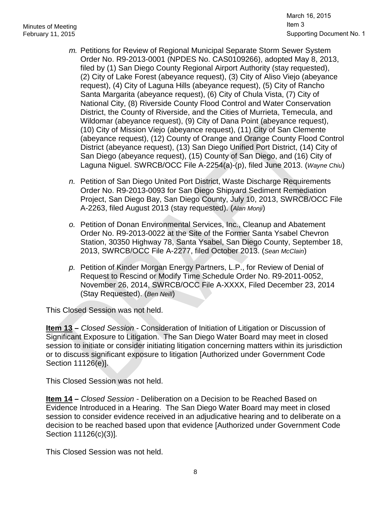- *m.* Petitions for Review of Regional Municipal Separate Storm Sewer System Order No. R9-2013-0001 (NPDES No. CAS0109266), adopted May 8, 2013, filed by (1) San Diego County Regional Airport Authority (stay requested), (2) City of Lake Forest (abeyance request), (3) City of Aliso Viejo (abeyance request), (4) City of Laguna Hills (abeyance request), (5) City of Rancho Santa Margarita (abeyance request), (6) City of Chula Vista, (7) City of National City, (8) Riverside County Flood Control and Water Conservation District, the County of Riverside, and the Cities of Murrieta, Temecula, and Wildomar (abeyance request), (9) City of Dana Point (abeyance request), (10) City of Mission Viejo (abeyance request), (11) City of San Clemente (abeyance request), (12) County of Orange and Orange County Flood Control District (abeyance request), (13) San Diego Unified Port District, (14) City of San Diego (abeyance request), (15) County of San Diego, and (16) City of Laguna Niguel. SWRCB/OCC File A-2254(a)-(p), filed June 2013. (*Wayne Chiu*)
- *n.* Petition of San Diego United Port District, Waste Discharge Requirements Order No. R9-2013-0093 for San Diego Shipyard Sediment Remediation Project, San Diego Bay, San Diego County, July 10, 2013, SWRCB/OCC File A-2263, filed August 2013 (stay requested). (*Alan Monji*)
- *o.* Petition of Donan Environmental Services, Inc., Cleanup and Abatement Order No. R9-2013-0022 at the Site of the Former Santa Ysabel Chevron Station, 30350 Highway 78, Santa Ysabel, San Diego County, September 18, 2013, SWRCB/OCC File A-2277, filed October 2013. (*Sean McClain*)
- *p.* Petition of Kinder Morgan Energy Partners, L.P., for Review of Denial of Request to Rescind or Modify Time Schedule Order No. R9-2011-0052, November 26, 2014, SWRCB/OCC File A-XXXX, Filed December 23, 2014 (Stay Requested). (*Ben Neill*)

This Closed Session was not held.

**Item 13 –** *Closed Session* - Consideration of Initiation of Litigation or Discussion of Significant Exposure to Litigation. The San Diego Water Board may meet in closed session to initiate or consider initiating litigation concerning matters within its jurisdiction or to discuss significant exposure to litigation [Authorized under Government Code Section 11126(e)].

This Closed Session was not held.

**Item 14 –** *Closed Session -* Deliberation on a Decision to be Reached Based on Evidence Introduced in a Hearing. The San Diego Water Board may meet in closed session to consider evidence received in an adjudicative hearing and to deliberate on a decision to be reached based upon that evidence [Authorized under Government Code Section 11126(c)(3)]*.*

This Closed Session was not held.